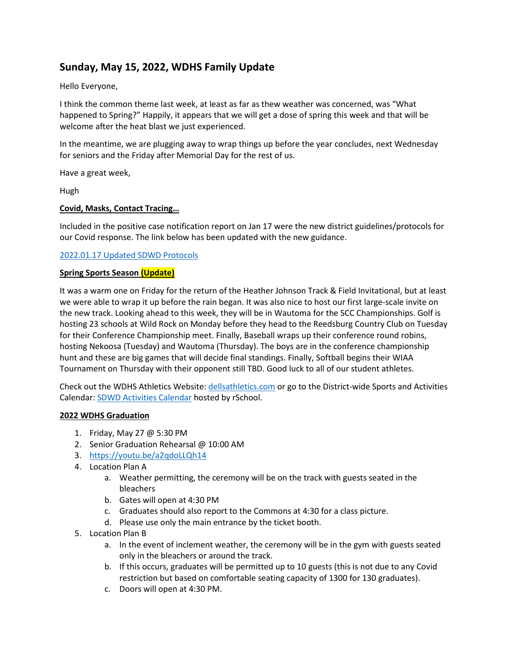# **Sunday, May 15, 2022, WDHS Family Update**

Hello Everyone,

I think the common theme last week, at least as far as thew weather was concerned, was "What happened to Spring?" Happily, it appears that we will get a dose of spring this week and that will be welcome after the heat blast we just experienced.

In the meantime, we are plugging away to wrap things up before the year concludes, next Wednesday for seniors and the Friday after Memorial Day for the rest of us.

Have a great week,

Hugh

## **Covid, Masks, Contact Tracing…**

Included in the positive case notification report on Jan 17 were the new district guidelines/protocols for our Covid response. The link below has been updated with the new guidance.

## 2022.01.17 [Updated SDWD Protocols](https://www.sdwd.k12.wi.us/cms/lib/WI02216212/Centricity/Domain/8/2022.01.17%20Updated%20SDWD%20Covid%20Protocols.pdf)

#### **Spring Sports Season (Update)**

It was a warm one on Friday for the return of the Heather Johnson Track & Field Invitational, but at least we were able to wrap it up before the rain began. It was also nice to host our first large-scale invite on the new track. Looking ahead to this week, they will be in Wautoma for the SCC Championships. Golf is hosting 23 schools at Wild Rock on Monday before they head to the Reedsburg Country Club on Tuesday for their Conference Championship meet. Finally, Baseball wraps up their conference round robins, hosting Nekoosa (Tuesday) and Wautoma (Thursday). The boys are in the conference championship hunt and these are big games that will decide final standings. Finally, Softball begins their WIAA Tournament on Thursday with their opponent still TBD. Good luck to all of our student athletes.

Check out the WDHS Athletics Website: [dellsathletics.com](https://dellsathletics.com/) or go to the District-wide Sports and Activities Calendar: [SDWD Activities Calendar](https://www.southcentralwisconsin.org/public/genie/588/school/6/) hosted by rSchool.

#### **2022 WDHS Graduation**

- 1. Friday, May 27 @ 5:30 PM
- 2. Senior Graduation Rehearsal @ 10:00 AM
- 3. <https://youtu.be/a2qdoLLQh14>
- 4. Location Plan A
	- a. Weather permitting, the ceremony will be on the track with guests seated in the bleachers
	- b. Gates will open at 4:30 PM
	- c. Graduates should also report to the Commons at 4:30 for a class picture.
	- d. Please use only the main entrance by the ticket booth.
- 5. Location Plan B
	- a. In the event of inclement weather, the ceremony will be in the gym with guests seated only in the bleachers or around the track.
	- b. If this occurs, graduates will be permitted up to 10 guests (this is not due to any Covid restriction but based on comfortable seating capacity of 1300 for 130 graduates).
	- c. Doors will open at 4:30 PM.